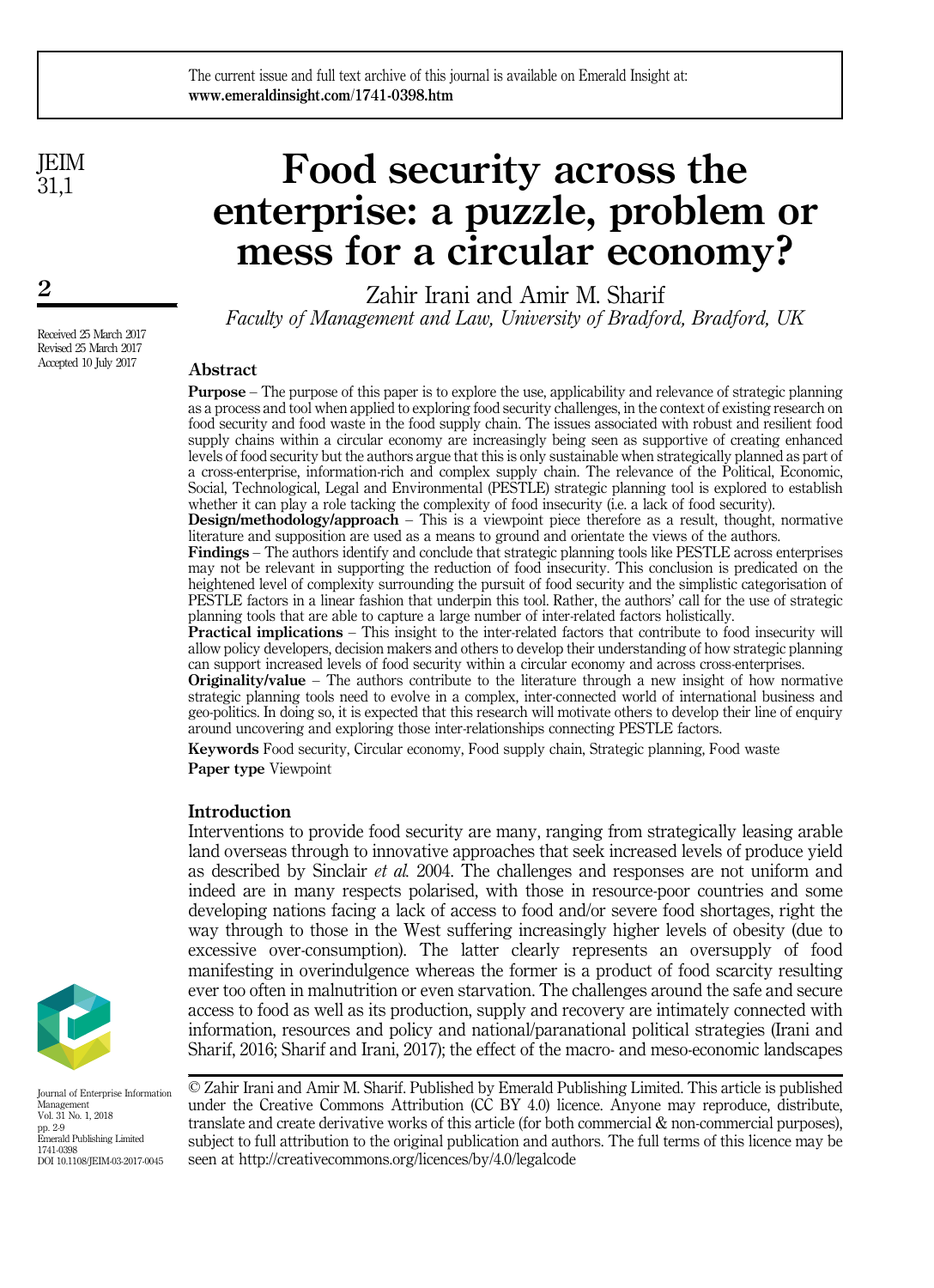**IEIM** 31,1

enterprise: a puzzle, problem or mess for a circular economy?

> Zahir Irani and Amir M. Sharif Faculty of Management and Law, University of Bradford, Bradford, UK

Food security across the

# Abstract

Purpose – The purpose of this paper is to explore the use, applicability and relevance of strategic planning as a process and tool when applied to exploring food security challenges, in the context of existing research on food security and food waste in the food supply chain. The issues associated with robust and resilient food supply chains within a circular economy are increasingly being seen as supportive of creating enhanced levels of food security but the authors argue that this is only sustainable when strategically planned as part of a cross-enterprise, information-rich and complex supply chain. The relevance of the Political, Economic, Social, Technological, Legal and Environmental (PESTLE) strategic planning tool is explored to establish whether it can play a role tacking the complexity of food insecurity (i.e. a lack of food security).

**Design/methodology/approach** – This is a viewpoint piece therefore as a result, thought, normative literature and supposition are used as a means to ground and orientate the views of the authors.

Findings – The authors identify and conclude that strategic planning tools like PESTLE across enterprises may not be relevant in supporting the reduction of food insecurity. This conclusion is predicated on the heightened level of complexity surrounding the pursuit of food security and the simplistic categorisation of PESTLE factors in a linear fashion that underpin this tool. Rather, the authors' call for the use of strategic planning tools that are able to capture a large number of inter-related factors holistically.

Practical implications – This insight to the inter-related factors that contribute to food insecurity will allow policy developers, decision makers and others to develop their understanding of how strategic planning can support increased levels of food security within a circular economy and across cross-enterprises.

Originality/value – The authors contribute to the literature through a new insight of how normative strategic planning tools need to evolve in a complex, inter-connected world of international business and geo-politics. In doing so, it is expected that this research will motivate others to develop their line of enquiry around uncovering and exploring those inter-relationships connecting PESTLE factors.

Keywords Food security, Circular economy, Food supply chain, Strategic planning, Food waste

Paper type Viewpoint

### **Introduction**

Interventions to provide food security are many, ranging from strategically leasing arable land overseas through to innovative approaches that seek increased levels of produce yield as described by Sinclair et al. 2004. The challenges and responses are not uniform and indeed are in many respects polarised, with those in resource-poor countries and some developing nations facing a lack of access to food and/or severe food shortages, right the way through to those in the West suffering increasingly higher levels of obesity (due to excessive over-consumption). The latter clearly represents an oversupply of food manifesting in overindulgence whereas the former is a product of food scarcity resulting ever too often in malnutrition or even starvation. The challenges around the safe and secure access to food as well as its production, supply and recovery are intimately connected with information, resources and policy and national/paranational political strategies (Irani and Sharif, 2016; Sharif and Irani, 2017); the effect of the macro- and meso-economic landscapes



Journal of Enterprise Information Management Vol. 31 No. 1, 2018 pp. 2-9 Emerald Publishing Limited 1741-0398 DOI 10.1108/JEIM-03-2017-0045

© Zahir Irani and Amir M. Sharif. Published by Emerald Publishing Limited. This article is published under the Creative Commons Attribution (CC BY 4.0) licence. Anyone may reproduce, distribute, translate and create derivative works of this article (for both commercial & non-commercial purposes), subject to full attribution to the original publication and authors. The full terms of this licence may be seen at<http://creativecommons.org/licences/by/4.0/legalcode>

2

Received 25 March 2017 Revised 25 March 2017 Accepted 10 July 2017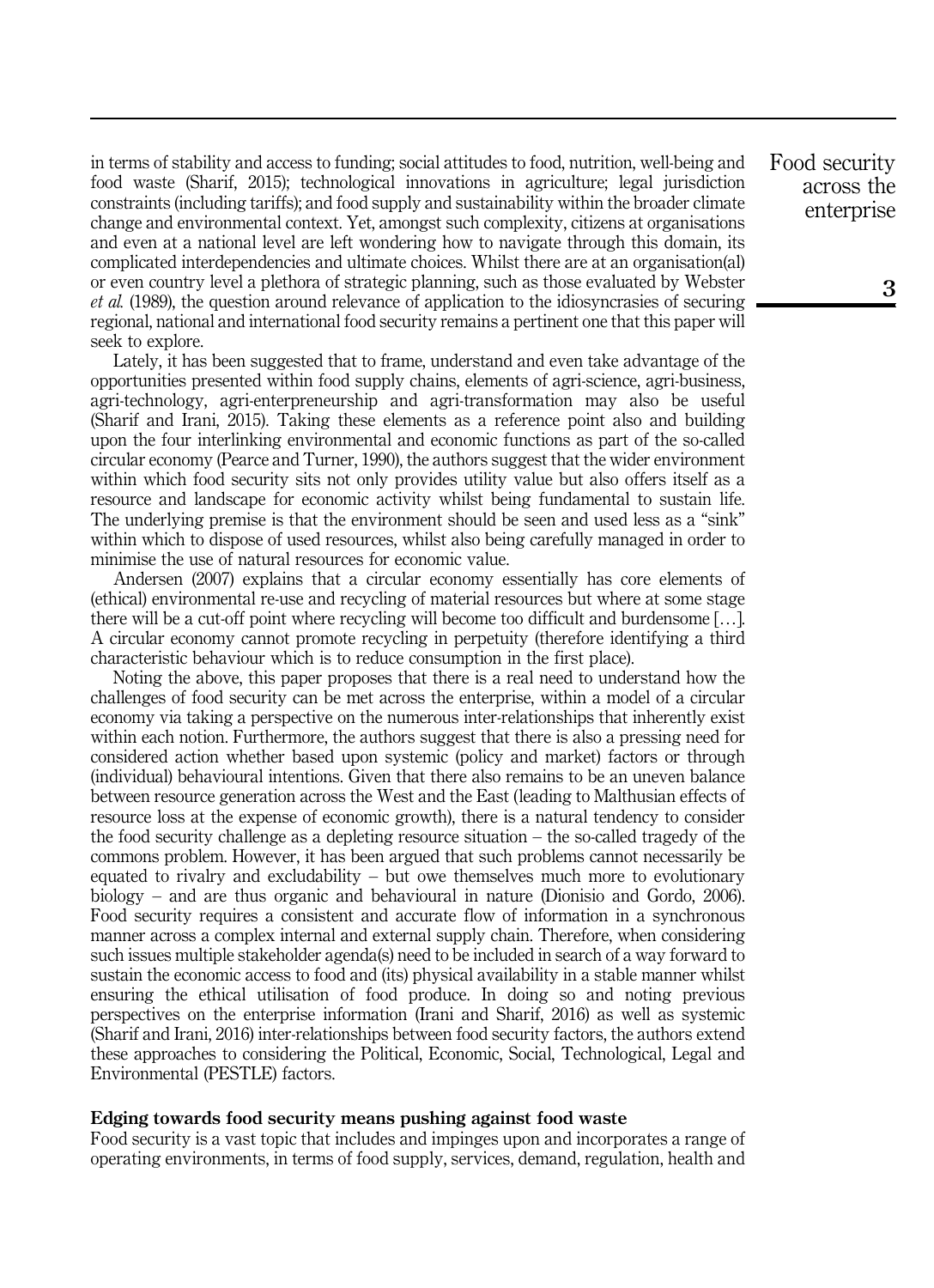in terms of stability and access to funding; social attitudes to food, nutrition, well-being and food waste (Sharif, 2015); technological innovations in agriculture; legal jurisdiction constraints (including tariffs); and food supply and sustainability within the broader climate change and environmental context. Yet, amongst such complexity, citizens at organisations and even at a national level are left wondering how to navigate through this domain, its complicated interdependencies and ultimate choices. Whilst there are at an organisation(al) or even country level a plethora of strategic planning, such as those evaluated by Webster et al. (1989), the question around relevance of application to the idiosyncrasies of securing regional, national and international food security remains a pertinent one that this paper will seek to explore.

Lately, it has been suggested that to frame, understand and even take advantage of the opportunities presented within food supply chains, elements of agri-science, agri-business, agri-technology, agri-enterpreneurship and agri-transformation may also be useful (Sharif and Irani, 2015). Taking these elements as a reference point also and building upon the four interlinking environmental and economic functions as part of the so-called circular economy (Pearce and Turner, 1990), the authors suggest that the wider environment within which food security sits not only provides utility value but also offers itself as a resource and landscape for economic activity whilst being fundamental to sustain life. The underlying premise is that the environment should be seen and used less as a "sink" within which to dispose of used resources, whilst also being carefully managed in order to minimise the use of natural resources for economic value.

Andersen (2007) explains that a circular economy essentially has core elements of (ethical) environmental re-use and recycling of material resources but where at some stage there will be a cut-off point where recycling will become too difficult and burdensome […]. A circular economy cannot promote recycling in perpetuity (therefore identifying a third characteristic behaviour which is to reduce consumption in the first place).

Noting the above, this paper proposes that there is a real need to understand how the challenges of food security can be met across the enterprise, within a model of a circular economy via taking a perspective on the numerous inter-relationships that inherently exist within each notion. Furthermore, the authors suggest that there is also a pressing need for considered action whether based upon systemic (policy and market) factors or through (individual) behavioural intentions. Given that there also remains to be an uneven balance between resource generation across the West and the East (leading to Malthusian effects of resource loss at the expense of economic growth), there is a natural tendency to consider the food security challenge as a depleting resource situation – the so-called tragedy of the commons problem. However, it has been argued that such problems cannot necessarily be equated to rivalry and excludability – but owe themselves much more to evolutionary biology – and are thus organic and behavioural in nature (Dionisio and Gordo, 2006). Food security requires a consistent and accurate flow of information in a synchronous manner across a complex internal and external supply chain. Therefore, when considering such issues multiple stakeholder agenda(s) need to be included in search of a way forward to sustain the economic access to food and (its) physical availability in a stable manner whilst ensuring the ethical utilisation of food produce. In doing so and noting previous perspectives on the enterprise information (Irani and Sharif, 2016) as well as systemic (Sharif and Irani, 2016) inter-relationships between food security factors, the authors extend these approaches to considering the Political, Economic, Social, Technological, Legal and Environmental (PESTLE) factors.

### Edging towards food security means pushing against food waste

Food security is a vast topic that includes and impinges upon and incorporates a range of operating environments, in terms of food supply, services, demand, regulation, health and

Food security across the enterprise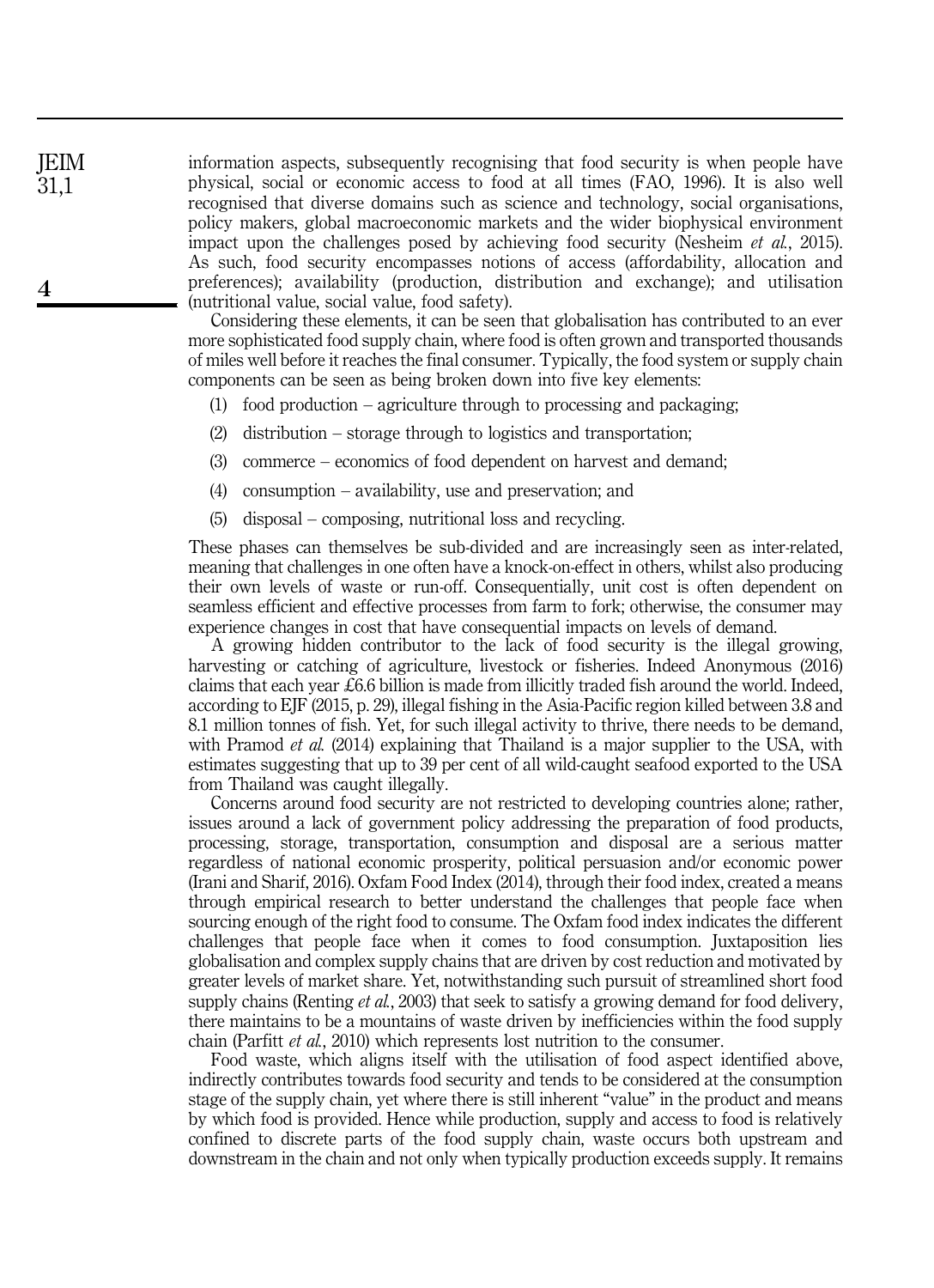information aspects, subsequently recognising that food security is when people have physical, social or economic access to food at all times (FAO, 1996). It is also well recognised that diverse domains such as science and technology, social organisations, policy makers, global macroeconomic markets and the wider biophysical environment impact upon the challenges posed by achieving food security (Nesheim et al., 2015). As such, food security encompasses notions of access (affordability, allocation and preferences); availability (production, distribution and exchange); and utilisation (nutritional value, social value, food safety).

Considering these elements, it can be seen that globalisation has contributed to an ever more sophisticated food supply chain, where food is often grown and transported thousands of miles well before it reaches the final consumer. Typically, the food system or supply chain components can be seen as being broken down into five key elements:

- (1) food production agriculture through to processing and packaging;
- (2) distribution storage through to logistics and transportation;
- (3) commerce economics of food dependent on harvest and demand;
- (4) consumption availability, use and preservation; and
- (5) disposal composing, nutritional loss and recycling.

These phases can themselves be sub-divided and are increasingly seen as inter-related, meaning that challenges in one often have a knock-on-effect in others, whilst also producing their own levels of waste or run-off. Consequentially, unit cost is often dependent on seamless efficient and effective processes from farm to fork; otherwise, the consumer may experience changes in cost that have consequential impacts on levels of demand.

A growing hidden contributor to the lack of food security is the illegal growing, harvesting or catching of agriculture, livestock or fisheries. Indeed Anonymous (2016) claims that each year £6.6 billion is made from illicitly traded fish around the world. Indeed, according to EJF (2015, p. 29), illegal fishing in the Asia-Pacific region killed between 3.8 and 8.1 million tonnes of fish. Yet, for such illegal activity to thrive, there needs to be demand, with Pramod *et al.* (2014) explaining that Thailand is a major supplier to the USA, with estimates suggesting that up to 39 per cent of all wild-caught seafood exported to the USA from Thailand was caught illegally.

Concerns around food security are not restricted to developing countries alone; rather, issues around a lack of government policy addressing the preparation of food products, processing, storage, transportation, consumption and disposal are a serious matter regardless of national economic prosperity, political persuasion and/or economic power (Irani and Sharif, 2016). Oxfam Food Index (2014), through their food index, created a means through empirical research to better understand the challenges that people face when sourcing enough of the right food to consume. The Oxfam food index indicates the different challenges that people face when it comes to food consumption. Juxtaposition lies globalisation and complex supply chains that are driven by cost reduction and motivated by greater levels of market share. Yet, notwithstanding such pursuit of streamlined short food supply chains (Renting *et al.*, 2003) that seek to satisfy a growing demand for food delivery, there maintains to be a mountains of waste driven by inefficiencies within the food supply chain (Parfitt et al., 2010) which represents lost nutrition to the consumer.

Food waste, which aligns itself with the utilisation of food aspect identified above, indirectly contributes towards food security and tends to be considered at the consumption stage of the supply chain, yet where there is still inherent "value" in the product and means by which food is provided. Hence while production, supply and access to food is relatively confined to discrete parts of the food supply chain, waste occurs both upstream and downstream in the chain and not only when typically production exceeds supply. It remains

JEIM 31,1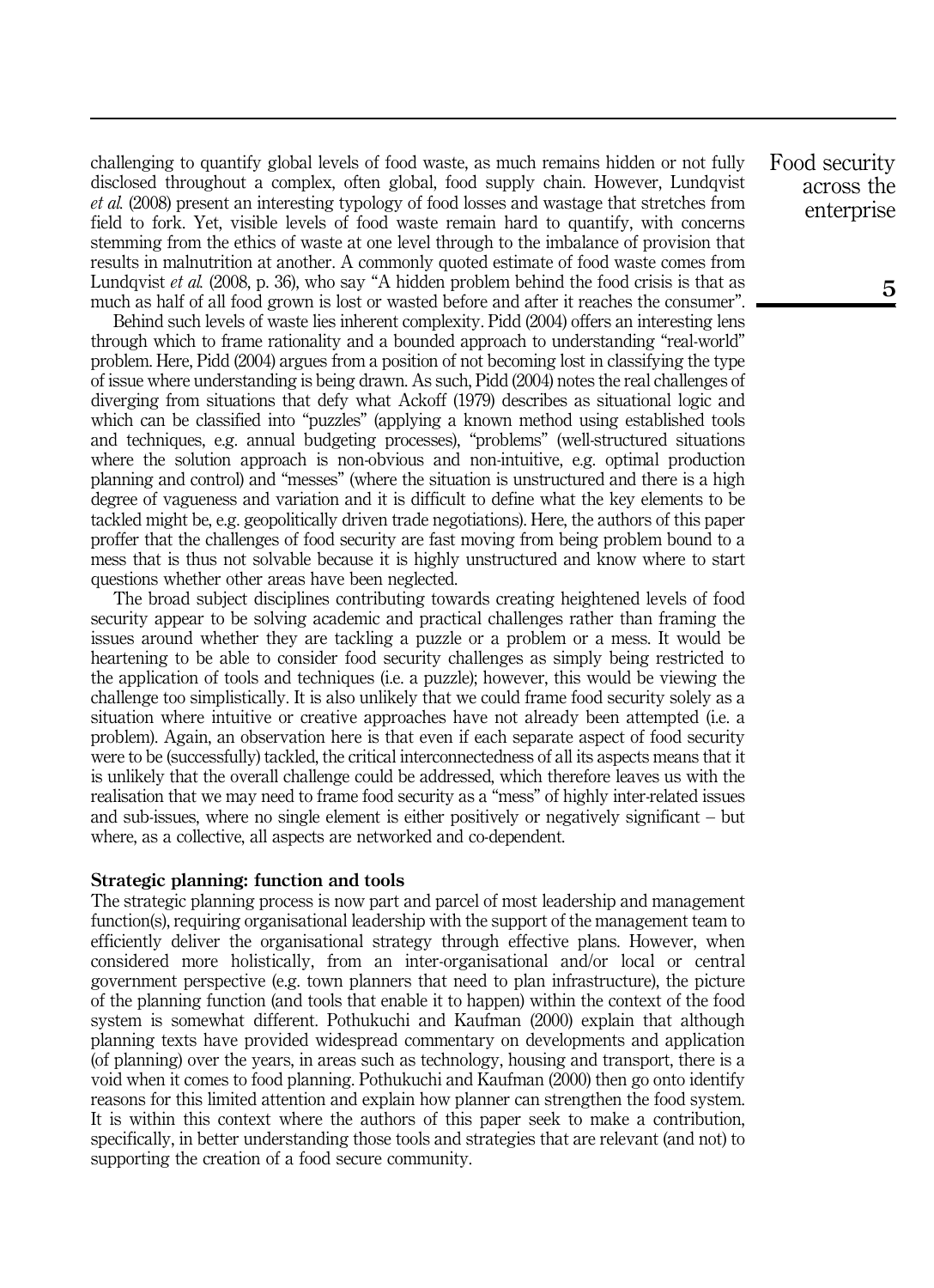challenging to quantify global levels of food waste, as much remains hidden or not fully disclosed throughout a complex, often global, food supply chain. However, Lundqvist et al. (2008) present an interesting typology of food losses and wastage that stretches from field to fork. Yet, visible levels of food waste remain hard to quantify, with concerns stemming from the ethics of waste at one level through to the imbalance of provision that results in malnutrition at another. A commonly quoted estimate of food waste comes from Lundqvist et al. (2008, p. 36), who say "A hidden problem behind the food crisis is that as much as half of all food grown is lost or wasted before and after it reaches the consumer".

Behind such levels of waste lies inherent complexity. Pidd (2004) offers an interesting lens through which to frame rationality and a bounded approach to understanding "real-world" problem. Here, Pidd (2004) argues from a position of not becoming lost in classifying the type of issue where understanding is being drawn. As such, Pidd (2004) notes the real challenges of diverging from situations that defy what Ackoff (1979) describes as situational logic and which can be classified into "puzzles" (applying a known method using established tools and techniques, e.g. annual budgeting processes), "problems" (well-structured situations where the solution approach is non-obvious and non-intuitive, e.g. optimal production planning and control) and "messes" (where the situation is unstructured and there is a high degree of vagueness and variation and it is difficult to define what the key elements to be tackled might be, e.g. geopolitically driven trade negotiations). Here, the authors of this paper proffer that the challenges of food security are fast moving from being problem bound to a mess that is thus not solvable because it is highly unstructured and know where to start questions whether other areas have been neglected.

The broad subject disciplines contributing towards creating heightened levels of food security appear to be solving academic and practical challenges rather than framing the issues around whether they are tackling a puzzle or a problem or a mess. It would be heartening to be able to consider food security challenges as simply being restricted to the application of tools and techniques (i.e. a puzzle); however, this would be viewing the challenge too simplistically. It is also unlikely that we could frame food security solely as a situation where intuitive or creative approaches have not already been attempted (i.e. a problem). Again, an observation here is that even if each separate aspect of food security were to be (successfully) tackled, the critical interconnectedness of all its aspects means that it is unlikely that the overall challenge could be addressed, which therefore leaves us with the realisation that we may need to frame food security as a "mess" of highly inter-related issues and sub-issues, where no single element is either positively or negatively significant – but where, as a collective, all aspects are networked and co-dependent.

### Strategic planning: function and tools

The strategic planning process is now part and parcel of most leadership and management function(s), requiring organisational leadership with the support of the management team to efficiently deliver the organisational strategy through effective plans. However, when considered more holistically, from an inter-organisational and/or local or central government perspective (e.g. town planners that need to plan infrastructure), the picture of the planning function (and tools that enable it to happen) within the context of the food system is somewhat different. Pothukuchi and Kaufman (2000) explain that although planning texts have provided widespread commentary on developments and application (of planning) over the years, in areas such as technology, housing and transport, there is a void when it comes to food planning. Pothukuchi and Kaufman (2000) then go onto identify reasons for this limited attention and explain how planner can strengthen the food system. It is within this context where the authors of this paper seek to make a contribution, specifically, in better understanding those tools and strategies that are relevant (and not) to supporting the creation of a food secure community.

Food security across the enterprise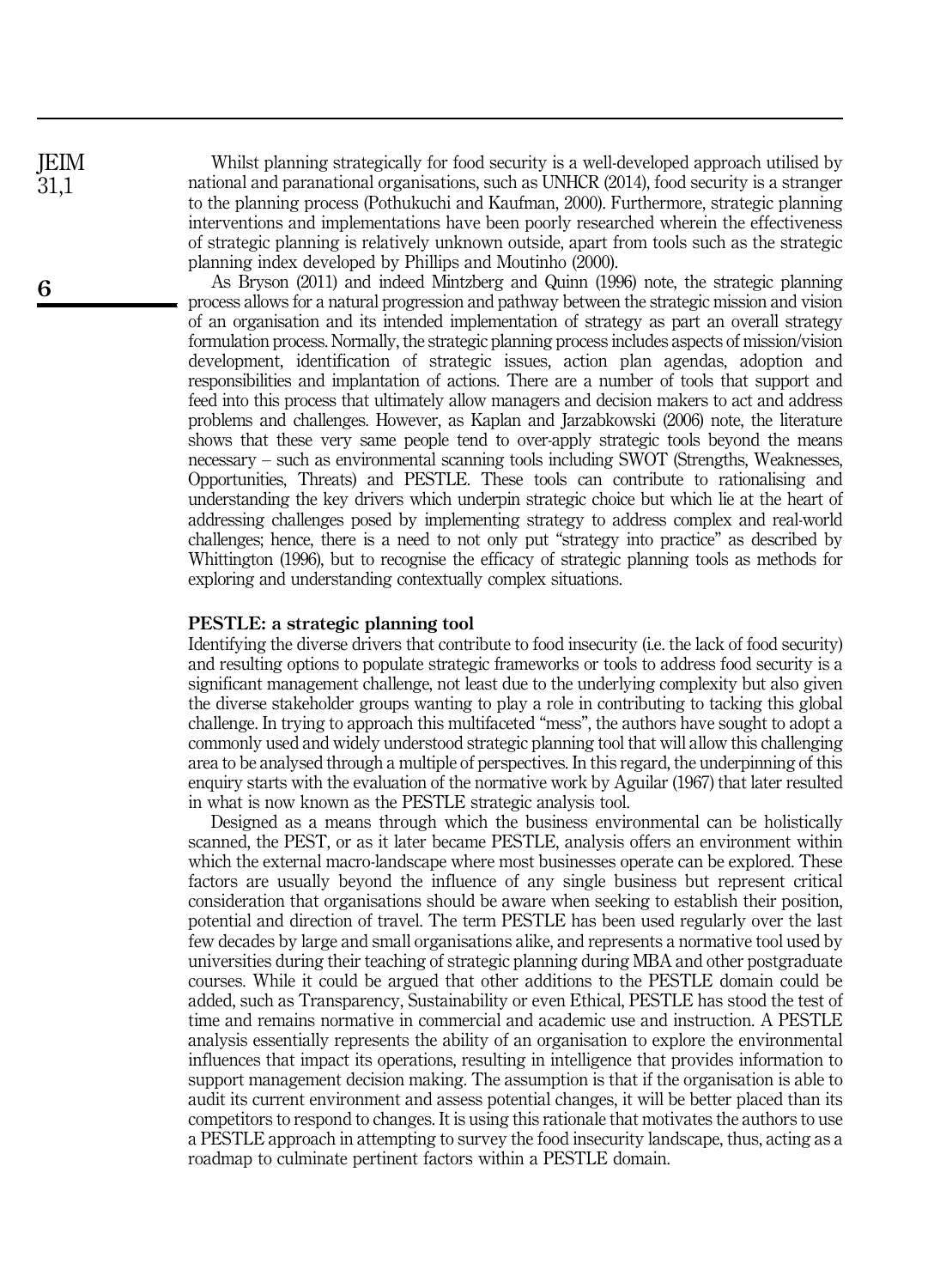Whilst planning strategically for food security is a well-developed approach utilised by national and paranational organisations, such as UNHCR (2014), food security is a stranger to the planning process (Pothukuchi and Kaufman, 2000). Furthermore, strategic planning interventions and implementations have been poorly researched wherein the effectiveness of strategic planning is relatively unknown outside, apart from tools such as the strategic planning index developed by Phillips and Moutinho (2000).

As Bryson (2011) and indeed Mintzberg and Quinn (1996) note, the strategic planning process allows for a natural progression and pathway between the strategic mission and vision of an organisation and its intended implementation of strategy as part an overall strategy formulation process. Normally, the strategic planning process includes aspects of mission/vision development, identification of strategic issues, action plan agendas, adoption and responsibilities and implantation of actions. There are a number of tools that support and feed into this process that ultimately allow managers and decision makers to act and address problems and challenges. However, as Kaplan and Jarzabkowski (2006) note, the literature shows that these very same people tend to over-apply strategic tools beyond the means necessary – such as environmental scanning tools including SWOT (Strengths, Weaknesses, Opportunities, Threats) and PESTLE. These tools can contribute to rationalising and understanding the key drivers which underpin strategic choice but which lie at the heart of addressing challenges posed by implementing strategy to address complex and real-world challenges; hence, there is a need to not only put "strategy into practice" as described by Whittington (1996), but to recognise the efficacy of strategic planning tools as methods for exploring and understanding contextually complex situations.

#### PESTLE: a strategic planning tool

Identifying the diverse drivers that contribute to food insecurity (i.e. the lack of food security) and resulting options to populate strategic frameworks or tools to address food security is a significant management challenge, not least due to the underlying complexity but also given the diverse stakeholder groups wanting to play a role in contributing to tacking this global challenge. In trying to approach this multifaceted "mess", the authors have sought to adopt a commonly used and widely understood strategic planning tool that will allow this challenging area to be analysed through a multiple of perspectives. In this regard, the underpinning of this enquiry starts with the evaluation of the normative work by Aguilar (1967) that later resulted in what is now known as the PESTLE strategic analysis tool.

Designed as a means through which the business environmental can be holistically scanned, the PEST, or as it later became PESTLE, analysis offers an environment within which the external macro-landscape where most businesses operate can be explored. These factors are usually beyond the influence of any single business but represent critical consideration that organisations should be aware when seeking to establish their position, potential and direction of travel. The term PESTLE has been used regularly over the last few decades by large and small organisations alike, and represents a normative tool used by universities during their teaching of strategic planning during MBA and other postgraduate courses. While it could be argued that other additions to the PESTLE domain could be added, such as Transparency, Sustainability or even Ethical, PESTLE has stood the test of time and remains normative in commercial and academic use and instruction. A PESTLE analysis essentially represents the ability of an organisation to explore the environmental influences that impact its operations, resulting in intelligence that provides information to support management decision making. The assumption is that if the organisation is able to audit its current environment and assess potential changes, it will be better placed than its competitors to respond to changes. It is using this rationale that motivates the authors to use a PESTLE approach in attempting to survey the food insecurity landscape, thus, acting as a roadmap to culminate pertinent factors within a PESTLE domain.

JEIM 31,1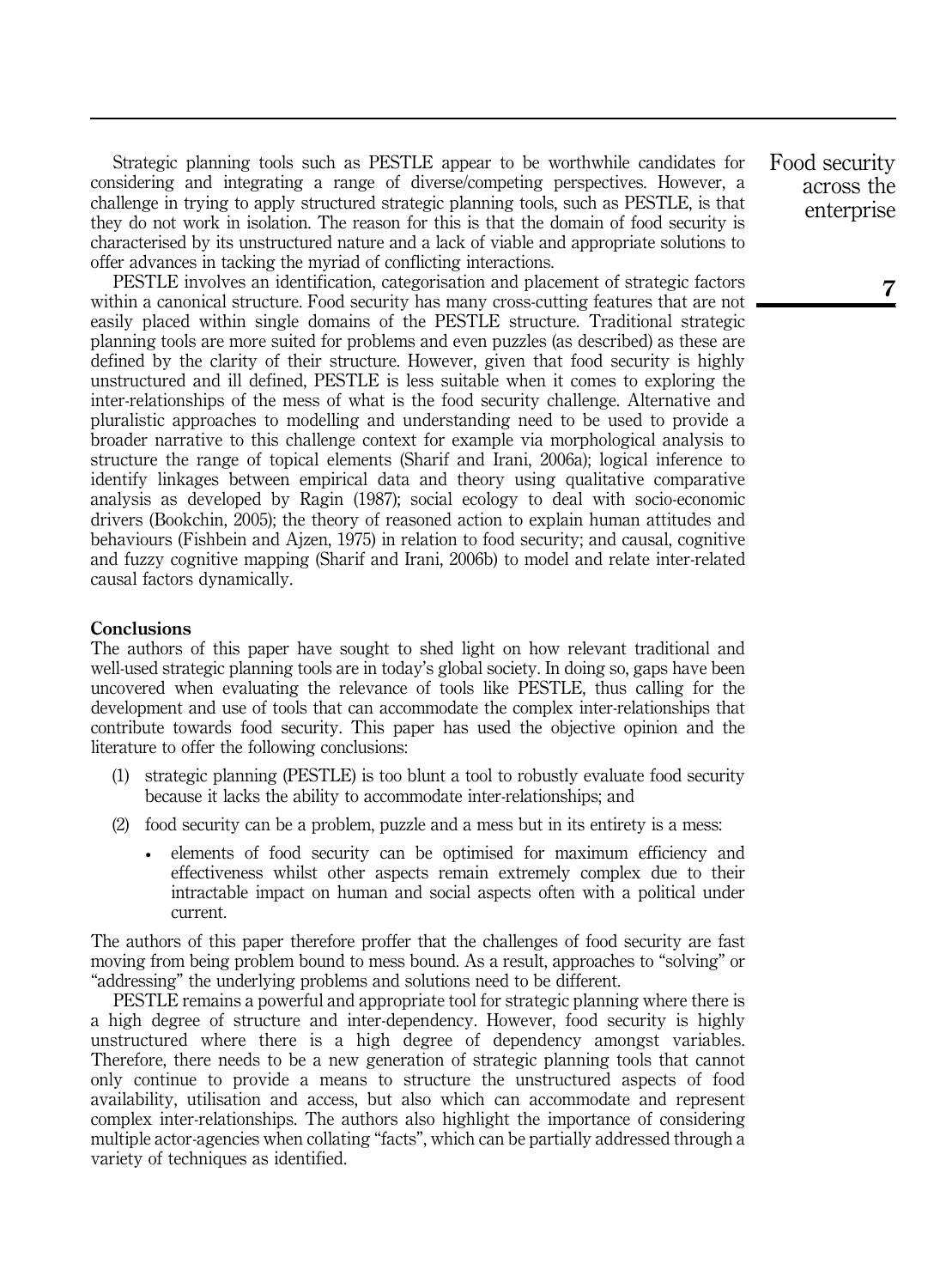Strategic planning tools such as PESTLE appear to be worthwhile candidates for considering and integrating a range of diverse/competing perspectives. However, a challenge in trying to apply structured strategic planning tools, such as PESTLE, is that they do not work in isolation. The reason for this is that the domain of food security is characterised by its unstructured nature and a lack of viable and appropriate solutions to offer advances in tacking the myriad of conflicting interactions.

PESTLE involves an identification, categorisation and placement of strategic factors within a canonical structure. Food security has many cross-cutting features that are not easily placed within single domains of the PESTLE structure. Traditional strategic planning tools are more suited for problems and even puzzles (as described) as these are defined by the clarity of their structure. However, given that food security is highly unstructured and ill defined, PESTLE is less suitable when it comes to exploring the inter-relationships of the mess of what is the food security challenge. Alternative and pluralistic approaches to modelling and understanding need to be used to provide a broader narrative to this challenge context for example via morphological analysis to structure the range of topical elements (Sharif and Irani, 2006a); logical inference to identify linkages between empirical data and theory using qualitative comparative analysis as developed by Ragin (1987); social ecology to deal with socio-economic drivers (Bookchin, 2005); the theory of reasoned action to explain human attitudes and behaviours (Fishbein and Ajzen, 1975) in relation to food security; and causal, cognitive and fuzzy cognitive mapping (Sharif and Irani, 2006b) to model and relate inter-related causal factors dynamically.

# **Conclusions**

The authors of this paper have sought to shed light on how relevant traditional and well-used strategic planning tools are in today's global society. In doing so, gaps have been uncovered when evaluating the relevance of tools like PESTLE, thus calling for the development and use of tools that can accommodate the complex inter-relationships that contribute towards food security. This paper has used the objective opinion and the literature to offer the following conclusions:

- (1) strategic planning (PESTLE) is too blunt a tool to robustly evaluate food security because it lacks the ability to accommodate inter-relationships; and
- (2) food security can be a problem, puzzle and a mess but in its entirety is a mess:
	- elements of food security can be optimised for maximum efficiency and effectiveness whilst other aspects remain extremely complex due to their intractable impact on human and social aspects often with a political under current.

The authors of this paper therefore proffer that the challenges of food security are fast moving from being problem bound to mess bound. As a result, approaches to "solving" or "addressing" the underlying problems and solutions need to be different.

PESTLE remains a powerful and appropriate tool for strategic planning where there is a high degree of structure and inter-dependency. However, food security is highly unstructured where there is a high degree of dependency amongst variables. Therefore, there needs to be a new generation of strategic planning tools that cannot only continue to provide a means to structure the unstructured aspects of food availability, utilisation and access, but also which can accommodate and represent complex inter-relationships. The authors also highlight the importance of considering multiple actor-agencies when collating "facts", which can be partially addressed through a variety of techniques as identified.

Food security across the enterprise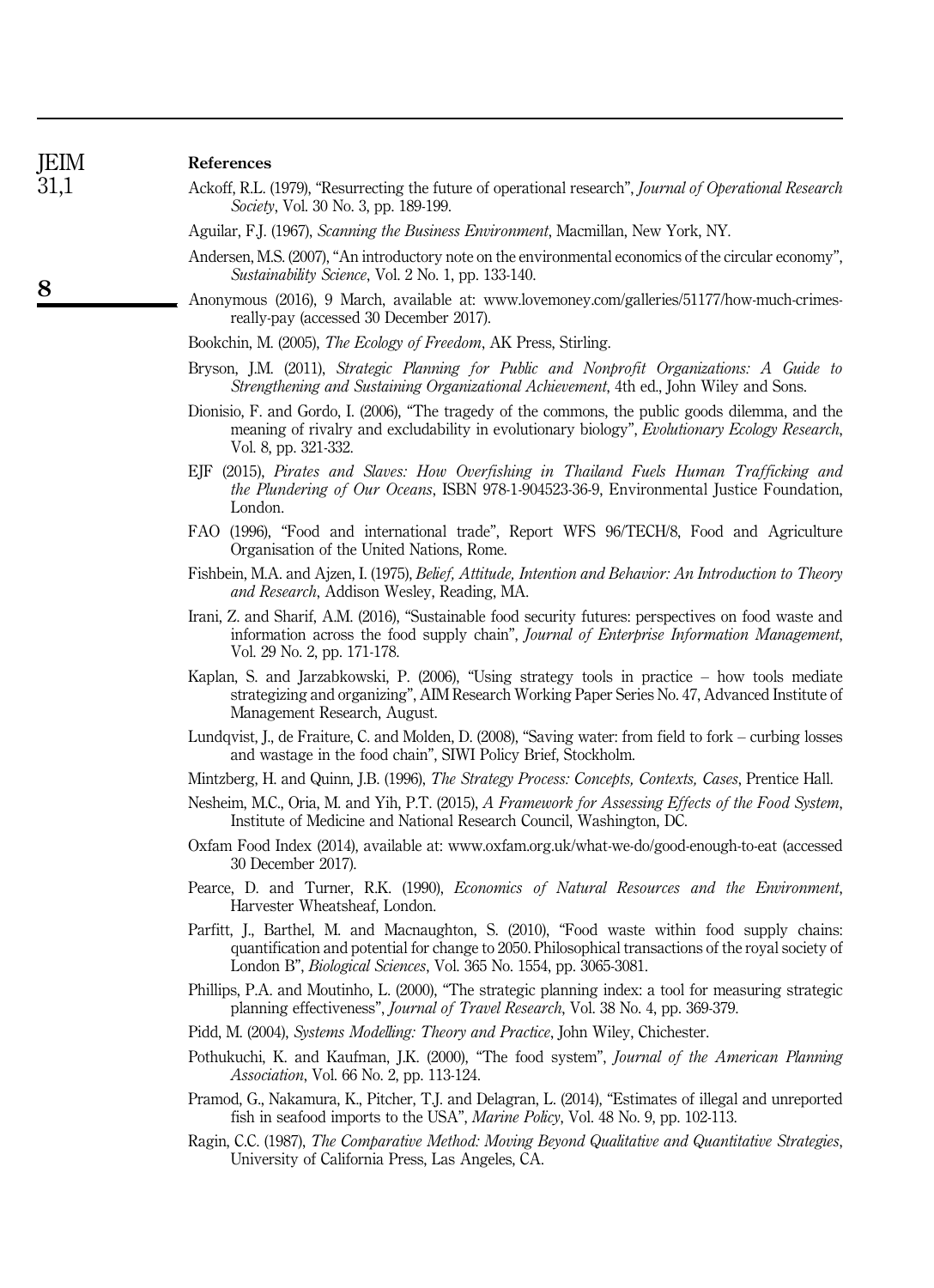8

## References

Ackoff, R.L. (1979), "Resurrecting the future of operational research", *Journal of Operational Research* Society, Vol. 30 No. 3, pp. 189-199.

Aguilar, F.J. (1967), Scanning the Business Environment, Macmillan, New York, NY.

- Andersen, M.S. (2007), "An introductory note on the environmental economics of the circular economy", Sustainability Science, Vol. 2 No. 1, pp. 133-140.
- Anonymous (2016), 9 March, available at: [www.lovemoney.com/galleries/51177/how-much-crimes](www.lovemoney.com/galleries/51177/how-much-crimes-really-pay)[really-pay](www.lovemoney.com/galleries/51177/how-much-crimes-really-pay) (accessed 30 December 2017).
- Bookchin, M. (2005), The Ecology of Freedom, AK Press, Stirling.
- Bryson, J.M. (2011), Strategic Planning for Public and Nonprofit Organizations: A Guide to Strengthening and Sustaining Organizational Achievement, 4th ed., John Wiley and Sons.
- Dionisio, F. and Gordo, I. (2006), "The tragedy of the commons, the public goods dilemma, and the meaning of rivalry and excludability in evolutionary biology", Evolutionary Ecology Research, Vol. 8, pp. 321-332.
- EJF (2015), Pirates and Slaves: How Overfishing in Thailand Fuels Human Trafficking and the Plundering of Our Oceans, ISBN 978-1-904523-36-9, Environmental Justice Foundation, London.
- FAO (1996), "Food and international trade", Report WFS 96/TECH/8, Food and Agriculture Organisation of the United Nations, Rome.
- Fishbein, M.A. and Ajzen, I. (1975), Belief, Attitude, Intention and Behavior: An Introduction to Theory and Research, Addison Wesley, Reading, MA.
- Irani, Z. and Sharif, A.M. (2016), "Sustainable food security futures: perspectives on food waste and information across the food supply chain", Journal of Enterprise Information Management, Vol. 29 No. 2, pp. 171-178.
- Kaplan, S. and Jarzabkowski, P. (2006), "Using strategy tools in practice how tools mediate strategizing and organizing", AIM Research Working Paper Series No. 47, Advanced Institute of Management Research, August.
- Lundqvist, J., de Fraiture, C. and Molden, D. (2008), "Saving water: from field to fork curbing losses and wastage in the food chain", SIWI Policy Brief, Stockholm.
- Mintzberg, H. and Quinn, J.B. (1996), The Strategy Process: Concepts, Contexts, Cases, Prentice Hall.
- Nesheim, M.C., Oria, M. and Yih, P.T. (2015), A Framework for Assessing Effects of the Food System, Institute of Medicine and National Research Council, Washington, DC.
- Oxfam Food Index (2014), available at:<www.oxfam.org.uk/what-we-do/good-enough-to-eat> (accessed 30 December 2017).
- Pearce, D. and Turner, R.K. (1990), Economics of Natural Resources and the Environment, Harvester Wheatsheaf, London.
- Parfitt, J., Barthel, M. and Macnaughton, S. (2010), "Food waste within food supply chains: quantification and potential for change to 2050. Philosophical transactions of the royal society of London B", Biological Sciences, Vol. 365 No. 1554, pp. 3065-3081.
- Phillips, P.A. and Moutinho, L. (2000), "The strategic planning index: a tool for measuring strategic planning effectiveness", Journal of Travel Research, Vol. 38 No. 4, pp. 369-379.
- Pidd, M. (2004), Systems Modelling: Theory and Practice, John Wiley, Chichester.
- Pothukuchi, K. and Kaufman, J.K. (2000), "The food system", Journal of the American Planning Association, Vol. 66 No. 2, pp. 113-124.
- Pramod, G., Nakamura, K., Pitcher, T.J. and Delagran, L. (2014), "Estimates of illegal and unreported fish in seafood imports to the USA", Marine Policy, Vol. 48 No. 9, pp. 102-113.
- Ragin, C.C. (1987), The Comparative Method: Moving Beyond Qualitative and Quantitative Strategies, University of California Press, Las Angeles, CA.